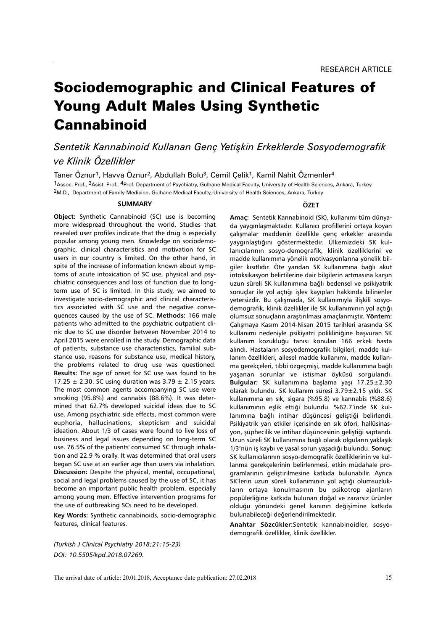# Sociodemographic and Clinical Features of Young Adult Males Using Synthetic **Cannabinoid**

# *Sentetik Kannabinoid Kullanan Genç Yetiþkin Erkeklerde Sosyodemografik ve Klinik Özellikler*

Taner Öznur1, Havva Öznur2, Abdullah Bolu3, Cemil Çelik1, Kamil Nahit Özmenler<sup>4</sup> 1<sub>Assoc.</sub> Prof., <sup>3</sup>Asist. Prof., <sup>4</sup>Prof. Department of Psychiatry, Gulhane Medical Faculty, University of Health Sciences, Ankara, Turkey 2M.D., Department of Family Medicine, Gulhane Medical Faculty, University of Health Sciences, Ankara, Turkey

#### **SUMMARY**

**Object:** Synthetic Cannabinoid (SC) use is becoming more widespread throughout the world. Studies that revealed user profiles indicate that the drug is especially popular among young men. Knowledge on sociodemographic, clinical characteristics and motivation for SC users in our country is limited. On the other hand, in spite of the increase of information known about symptoms of acute intoxication of SC use, physical and psychiatric consequences and loss of function due to longterm use of SC is limited. In this study, we aimed to investigate socio-demographic and clinical characteristics associated with SC use and the negative consequences caused by the use of SC. **Methods:** 166 male patients who admitted to the psychiatric outpatient clinic due to SC use disorder between November 2014 to April 2015 were enrolled in the study. Demographic data of patients, substance use characteristics, familial substance use, reasons for substance use, medical history, the problems related to drug use was questioned. **Results:** The age of onset for SC use was found to be 17.25  $\pm$  2.30. SC using duration was 3.79  $\pm$  2.15 years. The most common agents accompanying SC use were smoking (95.8%) and cannabis (88.6%). It was determined that 62.7% developed suicidal ideas due to SC use. Among psychiatric side effects, most common were euphoria, hallucinations, skepticism and suicidal ideation. About 1/3 of cases were found to live loss of business and legal issues depending on long-term SC use. 76.5% of the patients' consumed SC through inhalation and 22.9 % orally. It was determined that oral users began SC use at an earlier age than users via inhalation. **Discussion:** Despite the physical, mental, occupational, social and legal problems caused by the use of SC, it has become an important public health problem, especially among young men. Effective intervention programs for the use of outbreaking SCs need to be developed.

**Key Words:** Synthetic cannabinoids, socio-demographic features, clinical features.

#### **ÖZET**

Amaç: Sentetik Kannabinoid (SK), kullanımı tüm dünyada yaygınlaşmaktadır. Kullanıcı profillerini ortaya koyan çalışmalar maddenin özellikle genç erkekler arasında yaygınlaştığını göstermektedir. Ülkemizdeki SK kullanıcılarının sosyo-demografik, klinik özelliklerini ve madde kullanımına yönelik motivasyonlarına yönelik bilgiler kısıtlıdır. Öte yandan SK kullanımına bağlı akut intoksikasyon belirtilerine dair bilgilerin artmasına karşın uzun süreli SK kullanımına bağlı bedensel ve psikiyatrik sonuçlar ile yol açtığı işlev kayıpları hakkında bilinenler yetersizdir. Bu çalışmada, SK kullanımıyla ilişkili sosyodemografik, klinik özellikler ile SK kullanımının yol açtığı olumsuz sonuçların araştırılması amaçlanmıştır. Yöntem: Calışmaya Kasım 2014-Nisan 2015 tarihleri arasında SK kullanımı nedeniyle psikiyatri polikliniğine başvuran SK kullanım kozukluğu tanısı konulan 166 erkek hasta alındı. Hastaların sosyodemografik bilgileri, madde kullanım özellikleri, ailesel madde kullanımı, madde kullanma gerekçeleri, tíbbi özgeçmişi, madde kullanımına bağlı yaşanan sorunlar ve istismar öyküsü sorgulandı. Bulgular: SK kullanımına başlama yaşı 17.25±2.30 olarak bulundu. SK kullanım süresi 3.79±2.15 yıldı. SK kullanımına en sık, sigara (%95.8) ve kannabis (%88.6) kullanımının eşlik ettiği bulundu. %62.7'inde SK kullanımına bağlı intihar düşüncesi geliştiği belirlendi. Psikiyatrik yan etkiler içerisinde en sık öfori, hallüsinasyon, şüphecilik ve intihar düşüncesinin geliştiği saptandı. Uzun süreli SK kullanımına bağlı olarak olguların yaklaşık 1/3'nün iş kaybı ve yasal sorun yaşadığı bulundu. **Sonuç:** SK kullanıcılarının sosyo-demografik özelliklerinin ve kullanma gerekçelerinin belirlenmesi, etkin müdahale programlarinin geliştirilmesine katkıda bulunabilir. Ayrıca SK'lerin uzun süreli kullanımının yol açtığı olumsuzlukların ortaya konulmasının bu psikotrop ajanların popülerliğine katkıda bulunan doğal ve zararsız ürünler olduğu yönündeki genel kanının değişimine katkıda bulunabileceði deðerlendirilmektedir.

**Anahtar Sözcükler:**Sentetik kannabinoidler, sosyodemografik özellikler, klinik özellikler.

*(Turkish J Clinical Psychiatry 2018;21:15-23) DOI: 10.5505/kpd.2018.07269.*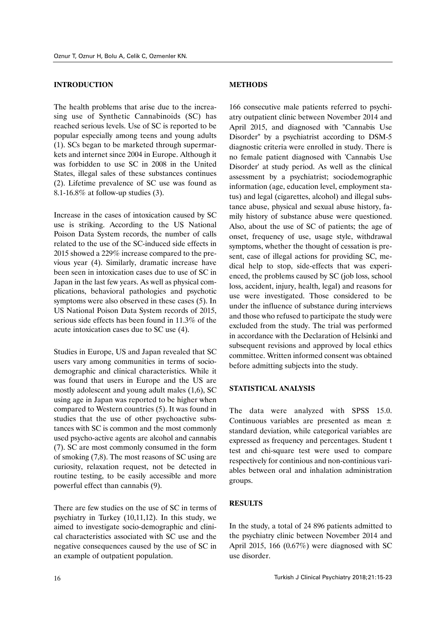#### **INTRODUCTION**

The health problems that arise due to the increasing use of Synthetic Cannabinoids (SC) has reached serious levels. Use of SC is reported to be popular especially among teens and young adults (1). SCs began to be marketed through supermarkets and internet since 2004 in Europe. Although it was forbidden to use SC in 2008 in the United States, illegal sales of these substances continues (2). Lifetime prevalence of SC use was found as 8.1-16.8% at follow-up studies (3).

Increase in the cases of intoxication caused by SC use is striking. According to the US National Poison Data System records, the number of calls related to the use of the SC-induced side effects in 2015 showed a 229% increase compared to the previous year (4). Similarly, dramatic increase have been seen in intoxication cases due to use of SC in Japan in the last few years. As well as physical complications, behavioral pathologies and psychotic symptoms were also observed in these cases (5). In US National Poison Data System records of 2015, serious side effects has been found in 11.3% of the acute intoxication cases due to SC use (4).

Studies in Europe, US and Japan revealed that SC users vary among communities in terms of sociodemographic and clinical characteristics. While it was found that users in Europe and the US are mostly adolescent and young adult males (1,6), SC using age in Japan was reported to be higher when compared to Western countries (5). It was found in studies that the use of other psychoactive substances with SC is common and the most commonly used psycho-active agents are alcohol and cannabis (7). SC are most commonly consumed in the form of smoking (7,8). The most reasons of SC using are curiosity, relaxation request, not be detected in routine testing, to be easily accessible and more powerful effect than cannabis (9).

There are few studies on the use of SC in terms of psychiatry in Turkey (10,11,12). In this study, we aimed to investigate socio-demographic and clinical characteristics associated with SC use and the negative consequences caused by the use of SC in an example of outpatient population.

#### **METHODS**

166 consecutive male patients referred to psychiatry outpatient clinic between November 2014 and April 2015, and diagnosed with "Cannabis Use Disorder" by a psychiatrist according to DSM-5 diagnostic criteria were enrolled in study. There is no female patient diagnosed with 'Cannabis Use Disorder' at study period. As well as the clinical assessment by a psychiatrist; sociodemographic information (age, education level, employment status) and legal (cigarettes, alcohol) and illegal substance abuse, physical and sexual abuse history, family history of substance abuse were questioned. Also, about the use of SC of patients; the age of onset, frequency of use, usage style, withdrawal symptoms, whether the thought of cessation is present, case of illegal actions for providing SC, medical help to stop, side-effects that was experienced, the problems caused by SC (job loss, school loss, accident, injury, health, legal) and reasons for use were investigated. Those considered to be under the influence of substance during interviews and those who refused to participate the study were excluded from the study. The trial was performed in accordance with the Declaration of Helsinki and subsequent revisions and approved by local ethics committee. Written informed consent was obtained before admitting subjects into the study.

#### **STATISTICAL ANALYSIS**

The data were analyzed with SPSS 15.0. Continuous variables are presented as mean ± standard deviation, while categorical variables are expressed as frequency and percentages. Student t test and chi-square test were used to compare respectively for continious and non-continious variables between oral and inhalation administration groups.

# **RESULTS**

In the study, a total of 24 896 patients admitted to the psychiatry clinic between November 2014 and April 2015, 166 (0.67%) were diagnosed with SC use disorder.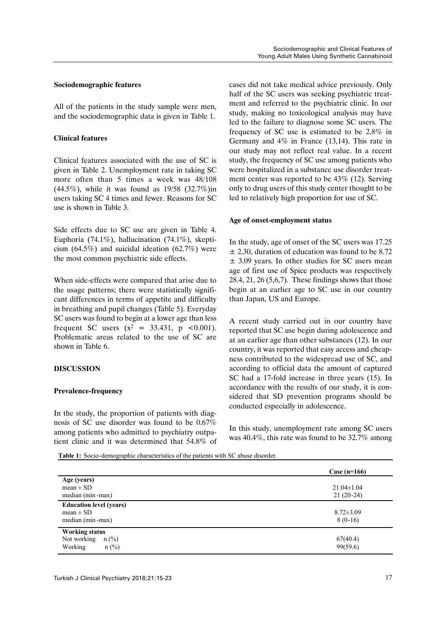#### **Sociodemographic features**

All of the patients in the study sample were men, and the sociodemographic data is given in Table 1.

# **Clinical features**

Clinical features associated with the use of SC is given in Table 2. Unemployment rate in taking SC more often than 5 times a week was 48/108 (44.5%), while it was found as 19/58 (32.7%)in users taking SC 4 times and fewer. Reasons for SC use is shown in Table 3.

Side effects due to SC use are given in Table 4. Euphoria (74.1%), hallucination (74.1%), skepticism  $(64.5\%)$  and suicidal ideation  $(62.7\%)$  were the most common psychiatric side effects.

When side-effects were compared that arise due to the usage patterns; there were statistically significant differences in terms of appetite and difficulty in breathing and pupil changes (Table 5). Everyday SC users was found to begin at a lower age than less frequent SC users  $(x^2 = 33.431, p \le 0.001)$ . Problematic areas related to the use of SC are shown in Table 6.

# **DISCUSSION**

# **Prevalence-frequency**

In the study, the proportion of patients with diagnosis of SC use disorder was found to be 0.67% among patients who admitted to psychiatry outpatient clinic and it was determined that 54.8% of cases did not take medical advice previously. Only half of the SC users was seeking psychiatric treatment and referred to the psychiatric clinic. In our study, making no toxicological analysis may have led to the failure to diagnose some SC users. The frequency of SC use is estimated to be 2.8% in Germany and 4% in France (13,14). This rate in our study may not reflect real value. In a recent study, the frequency of SC use among patients who were hospitalized in a substance use disorder treatment center was reported to be 43% (12). Serving only to drug users of this study center thought to be led to relatively high proportion for use of SC.

# **Age of onset-employment status**

In the study, age of onset of the SC users was 17.25  $\pm$  2.30, duration of education was found to be 8.72  $\pm$  3.09 years. In other studies for SC users mean age of first use of Spice products was respectively 28.4, 21, 26 (5,6,7). These findings shows that those begin at an earlier age to SC use in our country than Japan, US and Europe.

A recent study carried out in our country have reported that SC use begin during adolescence and at an earlier age than other substances (12). In our country, it was reported that easy access and cheapness contributed to the widespread use of SC, and according to official data the amount of captured SC had a 17-fold increase in three years (15). In accordance with the results of our study, it is considered that SD prevention programs should be conducted especially in adolescence.

In this study, unemployment rate among SC users was 40.4%, this rate was found to be 32.7% among

**Table 1:** Socio-demographic characteristics of the patients with SC abuse disorder.

|                                                                       | Case $(n=166)$                  |
|-----------------------------------------------------------------------|---------------------------------|
| Age (years)<br>mean $\pm$ SD<br>median (min-max)                      | $21.04 \pm 1.04$<br>$21(20-24)$ |
| <b>Education level (years)</b><br>mean $\pm$ SD<br>median (min-max)   | $8.72 \pm 3.09$<br>$8(0-16)$    |
| <b>Working status</b><br>Not working<br>$n$ (%)<br>Working<br>$n$ (%) | 67(40.4)<br>99(59.6)            |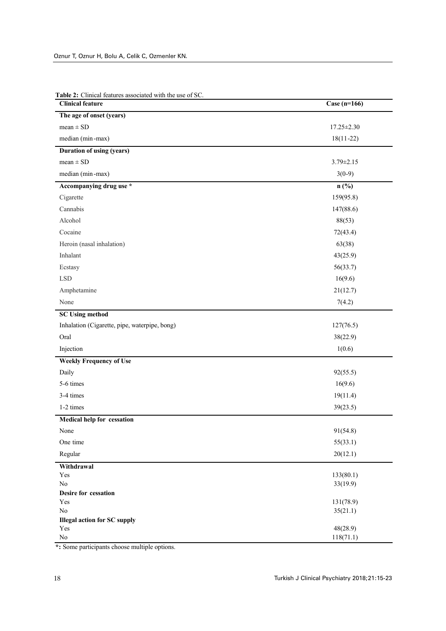| <b>Clinical feature</b>                       | Case $(n=166)$  |
|-----------------------------------------------|-----------------|
| The age of onset (years)                      |                 |
| $mean \pm SD$                                 | 17.25±2.30      |
| median (min-max)                              | $18(11-22)$     |
| Duration of using (years)                     |                 |
| $mean \pm SD$                                 | $3.79 \pm 2.15$ |
| median (min-max)                              | $3(0-9)$        |
| Accompanying drug use *                       | $n$ (%)         |
| Cigarette                                     | 159(95.8)       |
| Cannabis                                      | 147(88.6)       |
| Alcohol                                       | 88(53)          |
| Cocaine                                       | 72(43.4)        |
| Heroin (nasal inhalation)                     | 63(38)          |
| Inhalant                                      | 43(25.9)        |
| Ecstasy                                       | 56(33.7)        |
| <b>LSD</b>                                    | 16(9.6)         |
| Amphetamine                                   | 21(12.7)        |
| None                                          | 7(4.2)          |
| <b>SC Using method</b>                        |                 |
| Inhalation (Cigarette, pipe, waterpipe, bong) | 127(76.5)       |
| Oral                                          | 38(22.9)        |
| Injection                                     | 1(0.6)          |
| <b>Weekly Frequency of Use</b>                |                 |
| Daily                                         | 92(55.5)        |
| 5-6 times                                     | 16(9.6)         |
| 3-4 times                                     | 19(11.4)        |
| 1-2 times                                     | 39(23.5)        |
| Medical help for cessation                    |                 |
| None                                          | 91(54.8)        |
| One time                                      | 55(33.1)        |
| Regular                                       | 20(12.1)        |
| Withdrawal                                    |                 |
| Yes                                           | 133(80.1)       |
| No<br>Desire for cessation                    | 33(19.9)        |
| Yes                                           | 131(78.9)       |
| No                                            | 35(21.1)        |
| <b>Illegal action for SC supply</b>           |                 |
| Yes                                           | 48(28.9)        |
| $\rm No$                                      | 118(71.1)       |

**Table 2:** Clinical features associated with the use of SC.

**\*:** Some participants choose multiple options.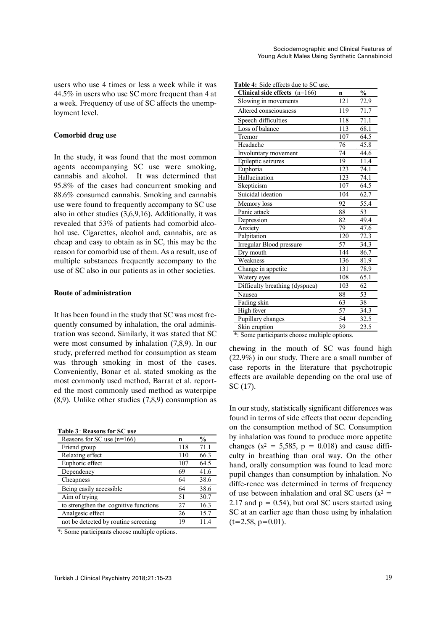users who use 4 times or less a week while it was 44.5% in users who use SC more frequent than 4 at a week. Frequency of use of SC affects the unemployment level.

# **Comorbid drug use**

In the study, it was found that the most common agents accompanying SC use were smoking, cannabis and alcohol. It was determined that 95.8% of the cases had concurrent smoking and 88.6% consumed cannabis. Smoking and cannabis use were found to frequently accompany to SC use also in other studies (3,6,9,16). Additionally, it was revealed that 53% of patients had comorbid alcohol use. Cigarettes, alcohol and, cannabis, are as cheap and easy to obtain as in SC, this may be the reason for comorbid use of them. As a result, use of multiple substances frequently accompany to the use of SC also in our patients as in other societies.

# **Route of administration**

It has been found in the study that SC was most frequently consumed by inhalation, the oral administration was second. Similarly, it was stated that SC were most consumed by inhalation (7,8,9). In our study, preferred method for consumption as steam was through smoking in most of the cases. Conveniently, Bonar et al. stated smoking as the most commonly used method, Barrat et al. reported the most commonly used method as waterpipe (8,9). Unlike other studies (7,8,9) consumption as

|  | Table 3: Reasons for SC use |  |  |  |  |
|--|-----------------------------|--|--|--|--|
|--|-----------------------------|--|--|--|--|

| Reasons for SC use $(n=166)$          | n   | $\frac{0}{0}$ |
|---------------------------------------|-----|---------------|
| Friend group                          | 118 | 71.1          |
| Relaxing effect                       | 110 | 66.3          |
| Euphoric effect                       | 107 | 64.5          |
| Dependency                            | 69  | 41.6          |
| Cheapness                             | 64  | 38.6          |
| Being easily accessible               | 64  | 38.6          |
| Aim of trying                         | 51  | 30.7          |
| to strengthen the cognitive functions | 27  | 16.3          |
| Analgesic effect                      | 26  | 15.7          |
| not be detected by routine screening  | 19  | 114           |

\*: Some participants choose multiple options.

| Clinical side effects $(n=166)$ | n                | $\frac{0}{0}$ |
|---------------------------------|------------------|---------------|
| Slowing in movements            | $\overline{121}$ | 72.9          |
| Altered consciousness           | 119              | 71.7          |
| Speech difficulties             | 118              | 71.1          |
| Loss of balance                 | 113              | 68.1          |
| Tremor                          | 107              | 64.5          |
| Headache                        | 76               | 45.8          |
| Involuntary movement            | 74               | 44.6          |
| Epileptic seizures              | 19               | 11.4          |
| Euphoria                        | 123              | 74.1          |
| Hallucination                   | 123              | 74.1          |
| Skepticism                      | 107              | 64.5          |
| Suicidal ideation               | 104              | 62.7          |
| Memory loss                     | 92               | 55.4          |
| Panic attack                    | 88               | 53            |
| Depression                      | 82               | 49.4          |
| Anxiety                         | 79               | 47.6          |
| Palpitation                     | 120              | 72.3          |
| Irregular Blood pressure        | 57               | 34.3          |
| Dry mouth                       | 144              | 86.7          |
| Weakness                        | 136              | 81.9          |
| Change in appetite              | 131              | 78.9          |
| Watery eyes                     | 108              | 65.1          |
| Difficulty breathing (dyspnea)  | 103              | 62            |
| Nausea                          | 88               | 53            |
| Fading skin                     | 63               | 38            |
| High fever                      | 57               | 34.3          |
| Pupillary changes               | 54               | 32.5          |
| Skin eruption                   | 39               | 23.5          |

**Table 4:**   $\alpha$  <sup>2</sup>  $\alpha$  <sup>4</sup>  $\alpha$  **1**  $\alpha$  **60**  $\alpha$ 

\*: Some participants choose multiple options.

chewing in the mouth of SC was found high (22.9%) in our study. There are a small number of case reports in the literature that psychotropic effects are available depending on the oral use of SC (17).

In our study, statistically significant differences was found in terms of side effects that occur depending on the consumption method of SC. Consumption by inhalation was found to produce more appetite changes ( $x^2 = 5,585$ ,  $p = 0.018$ ) and cause difficulty in breathing than oral way. On the other hand, orally consumption was found to lead more pupil changes than consumption by inhalation. No diffe-rence was determined in terms of frequency of use between inhalation and oral SC users  $(x^2 =$ 2.17 and  $p = 0.54$ ), but oral SC users started using SC at an earlier age than those using by inhalation  $(t=2.58, p=0.01)$ .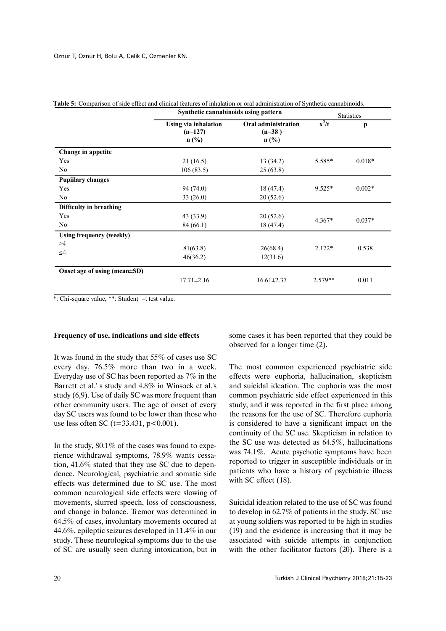|                                | Synthetic cannabinoids using pattern                |                                                   | <b>Statistics</b> |          |
|--------------------------------|-----------------------------------------------------|---------------------------------------------------|-------------------|----------|
|                                | <b>Using via inhalation</b><br>$(n=127)$<br>$n$ (%) | <b>Oral administration</b><br>$(n=38)$<br>$n$ (%) | $x^2/t$           | p        |
| Change in appetite             |                                                     |                                                   |                   |          |
| Yes                            | 21(16.5)                                            | 13(34.2)                                          | 5.585*            | $0.018*$ |
| No                             | 106(83.5)                                           | 25(63.8)                                          |                   |          |
| <b>Pupillary changes</b>       |                                                     |                                                   |                   |          |
| Yes                            | 94 (74.0)                                           | 18 (47.4)                                         | $9.525*$          | $0.002*$ |
| No                             | 33(26.0)                                            | 20(52.6)                                          |                   |          |
| <b>Difficulty in breathing</b> |                                                     |                                                   |                   |          |
| Yes                            | 43 (33.9)                                           | 20(52.6)                                          | $4.367*$          | $0.037*$ |
| No                             | 84 (66.1)                                           | 18 (47.4)                                         |                   |          |
| Using frequency (weekly)       |                                                     |                                                   |                   |          |
| >4                             | 81(63.8)                                            | 26(68.4)                                          | $2.172*$          | 0.538    |
| $\leq 4$                       | 46(36.2)                                            | 12(31.6)                                          |                   |          |
|                                |                                                     |                                                   |                   |          |
| Onset age of using (mean±SD)   |                                                     |                                                   |                   |          |
|                                | $17.71 \pm 2.16$                                    | $16.61 \pm 2.37$                                  | $2.579**$         | 0.011    |
|                                |                                                     |                                                   |                   |          |

| <b>Table 5:</b> Comparison of side effect and clinical features of inhalation or oral administration of Synthetic cannabinoids. |  |  |
|---------------------------------------------------------------------------------------------------------------------------------|--|--|
|                                                                                                                                 |  |  |

\*: Chi-square value, \*\*: Student –t test value.

#### **Frequency of use, indications and side effects**

It was found in the study that 55% of cases use SC every day, 76.5% more than two in a week. Everyday use of SC has been reported as 7% in the Barrett et al.' s study and 4.8% in Winsock et al.'s study (6,9). Use of daily SC was more frequent than other community users. The age of onset of every day SC users was found to be lower than those who use less often SC ( $t=33.431$ ,  $p<0.001$ ).

In the study, 80.1% of the cases was found to experience withdrawal symptoms, 78.9% wants cessation, 41.6% stated that they use SC due to dependence. Neurological, psychiatric and somatic side effects was determined due to SC use. The most common neurological side effects were slowing of movements, slurred speech, loss of consciousness, and change in balance. Tremor was determined in 64.5% of cases, involuntary movements occured at 44.6%, epileptic seizures developed in 11.4% in our study. These neurological symptoms due to the use of SC are usually seen during intoxication, but in

some cases it has been reported that they could be observed for a longer time (2).

The most common experienced psychiatric side effects were euphoria, hallucination, skepticism and suicidal ideation. The euphoria was the most common psychiatric side effect experienced in this study, and it was reported in the first place among the reasons for the use of SC. Therefore euphoria is considered to have a significant impact on the continuity of the SC use. Skepticism in relation to the SC use was detected as 64.5%, hallucinations was 74.1%. Acute psychotic symptoms have been reported to trigger in susceptible individuals or in patients who have a history of psychiatric illness with SC effect  $(18)$ .

Suicidal ideation related to the use of SC was found to develop in 62.7% of patients in the study. SC use at young soldiers was reported to be high in studies (19) and the evidence is increasing that it may be associated with suicide attempts in conjunction with the other facilitator factors (20). There is a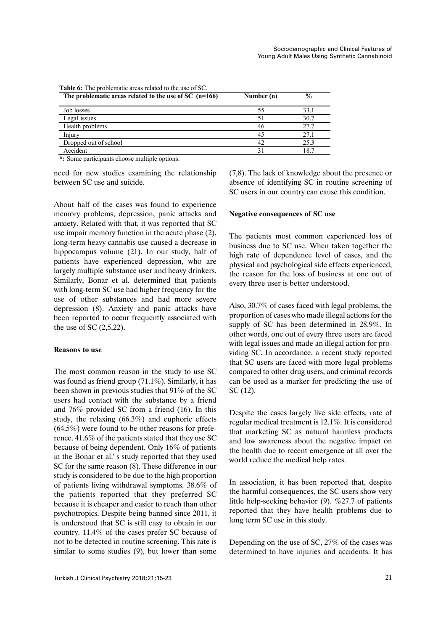| The problematic areas related to the use of $SC$ ( $n=166$ ) | Number (n) | $\frac{6}{9}$ |
|--------------------------------------------------------------|------------|---------------|
| Job losses                                                   | 55         | 33.1          |
| Legal issues                                                 | 51         | 30.7          |
| Health problems                                              | 46         | 27.7          |
| Injury                                                       | 45         | 27.1          |
| Dropped out of school                                        | 42         | 25.3          |
| Accident                                                     |            | 18.7          |

**Table 6:** The problematic areas related to the use of SC.

**\*:** Some participants choose multiple options.

need for new studies examining the relationship between SC use and suicide.

About half of the cases was found to experience memory problems, depression, panic attacks and anxiety. Related with that, it was reported that SC use impair memory function in the acute phase (2), long-term heavy cannabis use caused a decrease in hippocampus volume (21). In our study, half of patients have experienced depression, who are largely multiple substance user and heavy drinkers. Similarly, Bonar et al. determined that patients with long-term SC use had higher frequency for the use of other substances and had more severe depression (8). Anxiety and panic attacks have been reported to occur frequently associated with the use of SC (2,5,22).

# **Reasons to use**

The most common reason in the study to use SC was found as friend group (71.1%). Similarly, it has been shown in previous studies that 91% of the SC users had contact with the substance by a friend and 76% provided SC from a friend (16). In this study, the relaxing (66.3%) and euphoric effects (64.5%) were found to be other reasons for preference. 41.6% of the patients stated that they use SC because of being dependent. Only 16% of patients in the Bonar et al.' s study reported that they used SC for the same reason (8). These difference in our study is considered to be due to the high proportion of patients living withdrawal symptoms. 38.6% of the patients reported that they preferred SC because it is cheaper and easier to reach than other psychotropics. Despite being banned since 2011, it is understood that SC is still easy to obtain in our country. 11.4% of the cases prefer SC because of not to be detected in routine screening. This rate is similar to some studies (9), but lower than some

(7,8). The lack of knowledge about the presence or absence of identifying SC in routine screening of SC users in our country can cause this condition.

#### **Negative consequences of SC use**

The patients most common experienced loss of business due to SC use. When taken together the high rate of dependence level of cases, and the physical and psychological side effects experienced, the reason for the loss of business at one out of every three user is better understood.

Also, 30.7% of cases faced with legal problems, the proportion of cases who made illegal actions for the supply of SC has been determined in 28.9%. In other words, one out of every three users are faced with legal issues and made an illegal action for providing SC. In accordance, a recent study reported that SC users are faced with more legal problems compared to other drug users, and criminal records can be used as a marker for predicting the use of SC (12).

Despite the cases largely live side effects, rate of regular medical treatment is 12.1%. It is considered that marketing SC as natural harmless products and low awareness about the negative impact on the health due to recent emergence at all over the world reduce the medical help rates.

In association, it has been reported that, despite the harmful consequences, the SC users show very little help-seeking behavior (9). %27.7 of patients reported that they have health problems due to long term SC use in this study.

Depending on the use of SC, 27% of the cases was determined to have injuries and accidents. It has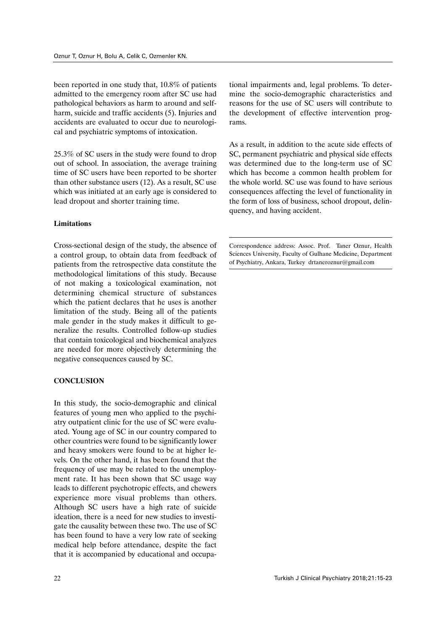been reported in one study that, 10.8% of patients admitted to the emergency room after SC use had pathological behaviors as harm to around and selfharm, suicide and traffic accidents (5). Injuries and accidents are evaluated to occur due to neurological and psychiatric symptoms of intoxication.

25.3% of SC users in the study were found to drop out of school. In association, the average training time of SC users have been reported to be shorter than other substance users (12). As a result, SC use which was initiated at an early age is considered to lead dropout and shorter training time.

# **Limitations**

a from feedback of<br>
a from feedback of<br>
data constitute the<br>
distances Universed<br>
this study. Because<br>
1 examination, not<br>
ure of substances<br>
he uses is another<br>
all of the patients<br>
es it difficult to ge-<br>
d follow-up stu Cross-sectional design of the study, the absence of a control group, to obtain data from feedback of patients from the retrospective data constitute the methodological limitations of this study. Because of not making a toxicological examination, not determining chemical structure of substances which the patient declares that he uses is another limitation of the study. Being all of the patients male gender in the study makes it difficult to generalize the results. Controlled follow-up studies that contain toxicological and biochemical analyzes are needed for more objectively determining the negative consequences caused by SC.

# **CONCLUSION**

In this study, the socio-demographic and clinical features of young men who applied to the psychiatry outpatient clinic for the use of SC were evaluated. Young age of SC in our country compared to other countries were found to be significantly lower and heavy smokers were found to be at higher levels. On the other hand, it has been found that the frequency of use may be related to the unemployment rate. It has been shown that SC usage way leads to different psychotropic effects, and chewers experience more visual problems than others. Although SC users have a high rate of suicide ideation, there is a need for new studies to investigate the causality between these two. The use of SC has been found to have a very low rate of seeking medical help before attendance, despite the fact that it is accompanied by educational and occupational impairments and, legal problems. To determine the socio-demographic characteristics and reasons for the use of SC users will contribute to the development of effective intervention programs.

As a result, in addition to the acute side effects of SC, permanent psychiatric and physical side effects was determined due to the long-term use of SC which has become a common health problem for the whole world. SC use was found to have serious consequences affecting the level of functionality in the form of loss of business, school dropout, delinquency, and having accident.

Correspondence address: Assoc. Prof. Taner Oznur, Health Sciences University, Faculty of Gulhane Medicine, Department of Psychiatry, Ankara, Turkey drtaneroznur@gmail.com